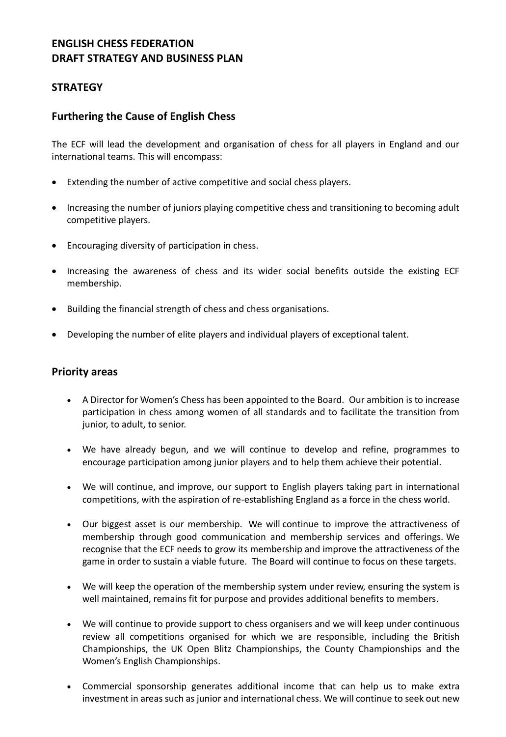# **ENGLISH CHESS FEDERATION DRAFT STRATEGY AND BUSINESS PLAN**

## **STRATEGY**

## **Furthering the Cause of English Chess**

The ECF will lead the development and organisation of chess for all players in England and our international teams. This will encompass:

- Extending the number of active competitive and social chess players.
- Increasing the number of juniors playing competitive chess and transitioning to becoming adult competitive players.
- Encouraging diversity of participation in chess.
- Increasing the awareness of chess and its wider social benefits outside the existing ECF membership.
- Building the financial strength of chess and chess organisations.
- Developing the number of elite players and individual players of exceptional talent.

### **Priority areas**

- A Director for Women's Chess has been appointed to the Board. Our ambition is to increase participation in chess among women of all standards and to facilitate the transition from junior, to adult, to senior.
- We have already begun, and we will continue to develop and refine, programmes to encourage participation among junior players and to help them achieve their potential.
- We will continue, and improve, our support to English players taking part in international competitions, with the aspiration of re-establishing England as a force in the chess world.
- Our biggest asset is our membership. We will continue to improve the attractiveness of membership through good communication and membership services and offerings. We recognise that the ECF needs to grow its membership and improve the attractiveness of the game in order to sustain a viable future. The Board will continue to focus on these targets.
- We will keep the operation of the membership system under review, ensuring the system is well maintained, remains fit for purpose and provides additional benefits to members.
- We will continue to provide support to chess organisers and we will keep under continuous review all competitions organised for which we are responsible, including the British Championships, the UK Open Blitz Championships, the County Championships and the Women's English Championships.
- Commercial sponsorship generates additional income that can help us to make extra investment in areas such as junior and international chess. We will continue to seek out new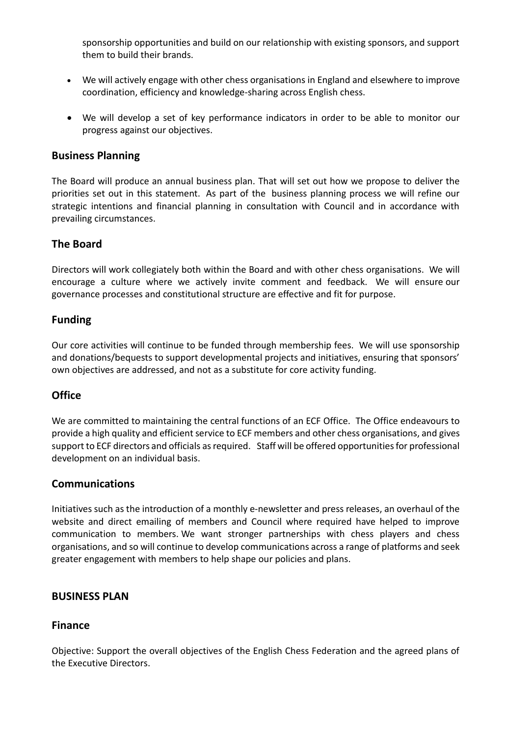sponsorship opportunities and build on our relationship with existing sponsors, and support them to build their brands.

- We will actively engage with other chess organisations in England and elsewhere to improve coordination, efficiency and knowledge-sharing across English chess.
- We will develop a set of key performance indicators in order to be able to monitor our progress against our objectives.

### **Business Planning**

The Board will produce an annual business plan. That will set out how we propose to deliver the priorities set out in this statement. As part of the business planning process we will refine our strategic intentions and financial planning in consultation with Council and in accordance with prevailing circumstances.

## **The Board**

Directors will work collegiately both within the Board and with other chess organisations. We will encourage a culture where we actively invite comment and feedback. We will ensure our governance processes and constitutional structure are effective and fit for purpose.

## **Funding**

Our core activities will continue to be funded through membership fees. We will use sponsorship and donations/bequests to support developmental projects and initiatives, ensuring that sponsors' own objectives are addressed, and not as a substitute for core activity funding.

### **Office**

We are committed to maintaining the central functions of an ECF Office. The Office endeavours to provide a high quality and efficient service to ECF members and other chess organisations, and gives support to ECF directors and officials as required. Staff will be offered opportunities for professional development on an individual basis.

### **Communications**

Initiatives such as the introduction of a monthly e-newsletter and press releases, an overhaul of the website and direct emailing of members and Council where required have helped to improve communication to members. We want stronger partnerships with chess players and chess organisations, and so will continue to develop communications across a range of platforms and seek greater engagement with members to help shape our policies and plans.

### **BUSINESS PLAN**

### **Finance**

Objective: Support the overall objectives of the English Chess Federation and the agreed plans of the Executive Directors.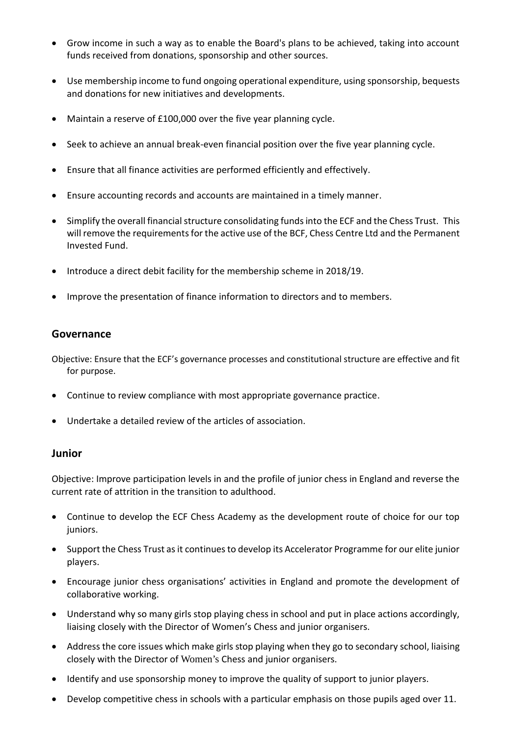- Grow income in such a way as to enable the Board's plans to be achieved, taking into account funds received from donations, sponsorship and other sources.
- Use membership income to fund ongoing operational expenditure, using sponsorship, bequests and donations for new initiatives and developments.
- Maintain a reserve of £100,000 over the five year planning cycle.
- Seek to achieve an annual break-even financial position over the five year planning cycle.
- Ensure that all finance activities are performed efficiently and effectively.
- Ensure accounting records and accounts are maintained in a timely manner.
- Simplify the overall financial structure consolidating funds into the ECF and the Chess Trust. This will remove the requirements for the active use of the BCF, Chess Centre Ltd and the Permanent Invested Fund.
- Introduce a direct debit facility for the membership scheme in 2018/19.
- Improve the presentation of finance information to directors and to members.

#### **Governance**

Objective: Ensure that the ECF's governance processes and constitutional structure are effective and fit for purpose.

- Continue to review compliance with most appropriate governance practice.
- Undertake a detailed review of the articles of association.

#### **Junior**

Objective: Improve participation levels in and the profile of junior chess in England and reverse the current rate of attrition in the transition to adulthood.

- Continue to develop the ECF Chess Academy as the development route of choice for our top juniors.
- Support the Chess Trust as it continues to develop its Accelerator Programme for our elite junior players.
- Encourage junior chess organisations' activities in England and promote the development of collaborative working.
- Understand why so many girls stop playing chess in school and put in place actions accordingly, liaising closely with the Director of Women's Chess and junior organisers.
- Address the core issues which make girls stop playing when they go to secondary school, liaising closely with the Director of Women's Chess and junior organisers.
- Identify and use sponsorship money to improve the quality of support to junior players.
- Develop competitive chess in schools with a particular emphasis on those pupils aged over 11.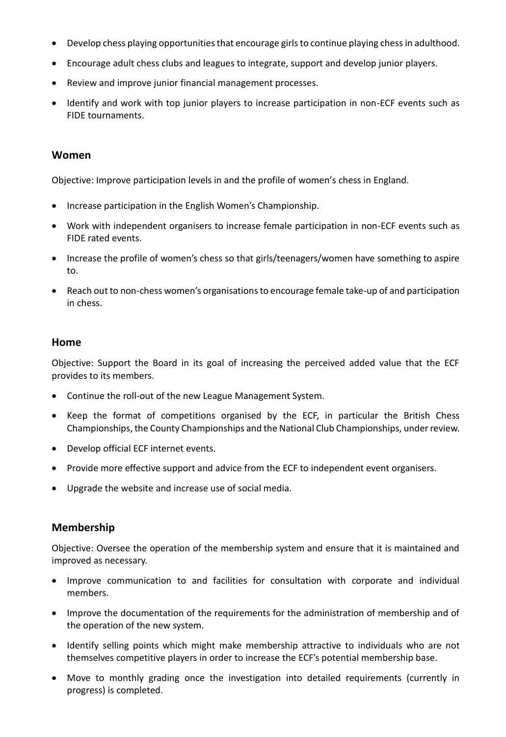- Develop chess playing opportunities that encourage girls to continue playing chess in adulthood.
- Encourage adult chess clubs and leagues to integrate, support and develop junior players.
- Review and improve junior financial management processes.
- Identify and work with top junior players to increase participation in non-ECF events such as FIDE tournaments.

#### **Women**

Objective: Improve participation levels in and the profile of women's chess in England.

- Increase participation in the English Women's Championship.
- Work with independent organisers to increase female participation in non-ECF events such as FIDE rated events.
- Increase the profile of women's chess so that girls/teenagers/women have something to aspire to.
- Reach out to non-chess women's organisations to encourage female take-up of and participation in chess.

#### **Home**

Objective: Support the Board in its goal of increasing the perceived added value that the ECF provides to its members.

- Continue the roll-out of the new League Management System.
- Keep the format of competitions organised by the ECF, in particular the British Chess Championships, the County Championships and the National Club Championships, under review.
- Develop official ECF internet events.
- Provide more effective support and advice from the ECF to independent event organisers.
- Upgrade the website and increase use of social media.

### **Membership**

Objective: Oversee the operation of the membership system and ensure that it is maintained and improved as necessary.

- Improve communication to and facilities for consultation with corporate and individual members.
- Improve the documentation of the requirements for the administration of membership and of the operation of the new system.
- Identify selling points which might make membership attractive to individuals who are not themselves competitive players in order to increase the ECF's potential membership base.
- Move to monthly grading once the investigation into detailed requirements (currently in progress) is completed.